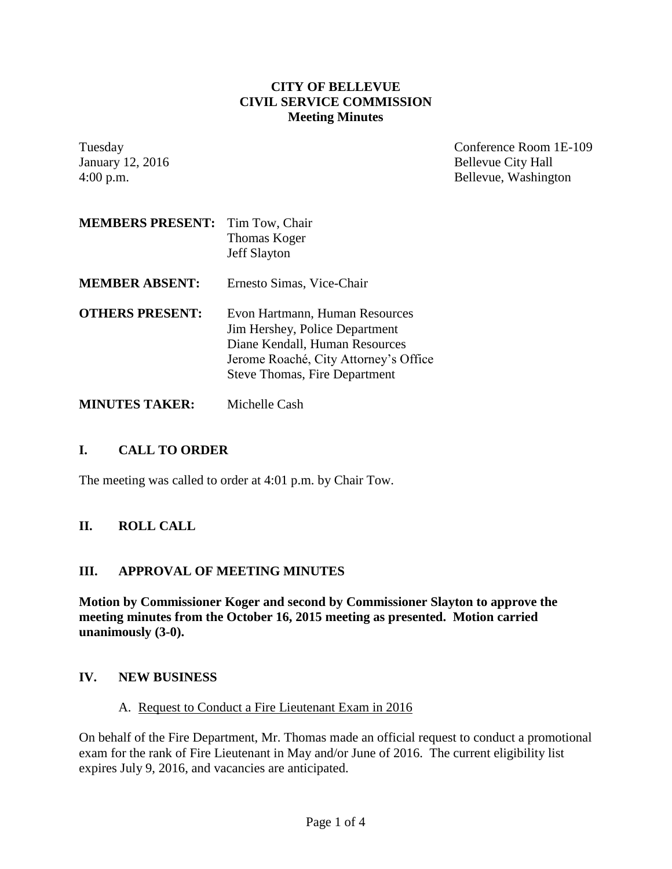#### **CITY OF BELLEVUE CIVIL SERVICE COMMISSION Meeting Minutes**

Tuesday Conference Room 1E-109 January 12, 2016 Bellevue City Hall 4:00 p.m. Bellevue, Washington

| <b>MEMBERS PRESENT:</b> | Tim Tow, Chair<br>Thomas Koger<br><b>Jeff Slayton</b>                                                                                                                               |
|-------------------------|-------------------------------------------------------------------------------------------------------------------------------------------------------------------------------------|
| <b>MEMBER ABSENT:</b>   | Ernesto Simas, Vice-Chair                                                                                                                                                           |
| <b>OTHERS PRESENT:</b>  | Evon Hartmann, Human Resources<br>Jim Hershey, Police Department<br>Diane Kendall, Human Resources<br>Jerome Roaché, City Attorney's Office<br><b>Steve Thomas, Fire Department</b> |

**MINUTES TAKER:** Michelle Cash

# **I. CALL TO ORDER**

The meeting was called to order at 4:01 p.m. by Chair Tow.

# **II. ROLL CALL**

### **III. APPROVAL OF MEETING MINUTES**

**Motion by Commissioner Koger and second by Commissioner Slayton to approve the meeting minutes from the October 16, 2015 meeting as presented. Motion carried unanimously (3-0).**

### **IV. NEW BUSINESS**

### A. Request to Conduct a Fire Lieutenant Exam in 2016

On behalf of the Fire Department, Mr. Thomas made an official request to conduct a promotional exam for the rank of Fire Lieutenant in May and/or June of 2016. The current eligibility list expires July 9, 2016, and vacancies are anticipated.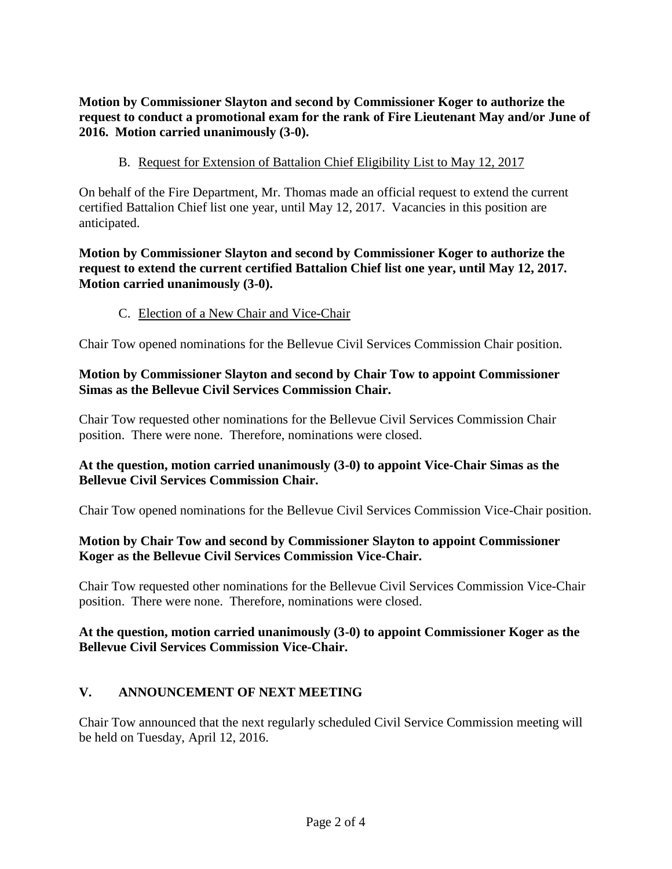**Motion by Commissioner Slayton and second by Commissioner Koger to authorize the request to conduct a promotional exam for the rank of Fire Lieutenant May and/or June of 2016. Motion carried unanimously (3-0).**

B. Request for Extension of Battalion Chief Eligibility List to May 12, 2017

On behalf of the Fire Department, Mr. Thomas made an official request to extend the current certified Battalion Chief list one year, until May 12, 2017. Vacancies in this position are anticipated.

### **Motion by Commissioner Slayton and second by Commissioner Koger to authorize the request to extend the current certified Battalion Chief list one year, until May 12, 2017. Motion carried unanimously (3-0).**

C. Election of a New Chair and Vice-Chair

Chair Tow opened nominations for the Bellevue Civil Services Commission Chair position.

## **Motion by Commissioner Slayton and second by Chair Tow to appoint Commissioner Simas as the Bellevue Civil Services Commission Chair.**

Chair Tow requested other nominations for the Bellevue Civil Services Commission Chair position. There were none. Therefore, nominations were closed.

### **At the question, motion carried unanimously (3-0) to appoint Vice-Chair Simas as the Bellevue Civil Services Commission Chair.**

Chair Tow opened nominations for the Bellevue Civil Services Commission Vice-Chair position.

## **Motion by Chair Tow and second by Commissioner Slayton to appoint Commissioner Koger as the Bellevue Civil Services Commission Vice-Chair.**

Chair Tow requested other nominations for the Bellevue Civil Services Commission Vice-Chair position. There were none. Therefore, nominations were closed.

### **At the question, motion carried unanimously (3-0) to appoint Commissioner Koger as the Bellevue Civil Services Commission Vice-Chair.**

# **V. ANNOUNCEMENT OF NEXT MEETING**

Chair Tow announced that the next regularly scheduled Civil Service Commission meeting will be held on Tuesday, April 12, 2016.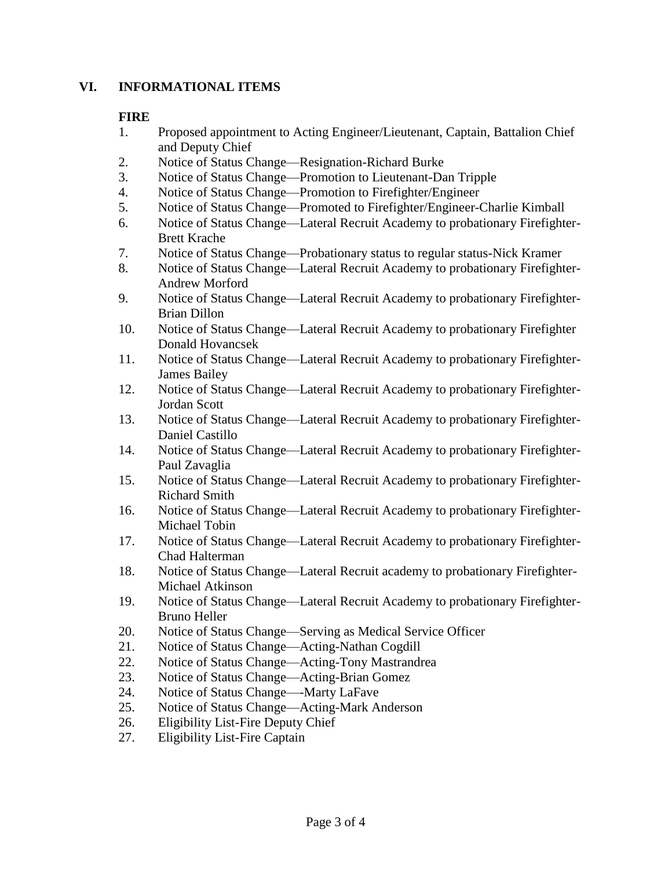### **VI. INFORMATIONAL ITEMS**

#### **FIRE**

- 1. Proposed appointment to Acting Engineer/Lieutenant, Captain, Battalion Chief and Deputy Chief
- 2. Notice of Status Change—Resignation-Richard Burke
- 3. Notice of Status Change—Promotion to Lieutenant-Dan Tripple
- 4. Notice of Status Change—Promotion to Firefighter/Engineer
- 5. Notice of Status Change—Promoted to Firefighter/Engineer-Charlie Kimball
- 6. Notice of Status Change—Lateral Recruit Academy to probationary Firefighter-Brett Krache
- 7. Notice of Status Change—Probationary status to regular status-Nick Kramer
- 8. Notice of Status Change—Lateral Recruit Academy to probationary Firefighter-Andrew Morford
- 9. Notice of Status Change—Lateral Recruit Academy to probationary Firefighter-Brian Dillon
- 10. Notice of Status Change—Lateral Recruit Academy to probationary Firefighter Donald Hovancsek
- 11. Notice of Status Change—Lateral Recruit Academy to probationary Firefighter-James Bailey
- 12. Notice of Status Change—Lateral Recruit Academy to probationary Firefighter-Jordan Scott
- 13. Notice of Status Change—Lateral Recruit Academy to probationary Firefighter-Daniel Castillo
- 14. Notice of Status Change—Lateral Recruit Academy to probationary Firefighter-Paul Zavaglia
- 15. Notice of Status Change—Lateral Recruit Academy to probationary Firefighter-Richard Smith
- 16. Notice of Status Change—Lateral Recruit Academy to probationary Firefighter-Michael Tobin
- 17. Notice of Status Change—Lateral Recruit Academy to probationary Firefighter-Chad Halterman
- 18. Notice of Status Change—Lateral Recruit academy to probationary Firefighter-Michael Atkinson
- 19. Notice of Status Change—Lateral Recruit Academy to probationary Firefighter-Bruno Heller
- 20. Notice of Status Change—Serving as Medical Service Officer
- 21. Notice of Status Change—Acting-Nathan Cogdill
- 22. Notice of Status Change—Acting-Tony Mastrandrea
- 23. Notice of Status Change—Acting-Brian Gomez
- 24. Notice of Status Change—-Marty LaFave
- 25. Notice of Status Change—Acting-Mark Anderson
- 26. Eligibility List-Fire Deputy Chief
- 27. Eligibility List-Fire Captain